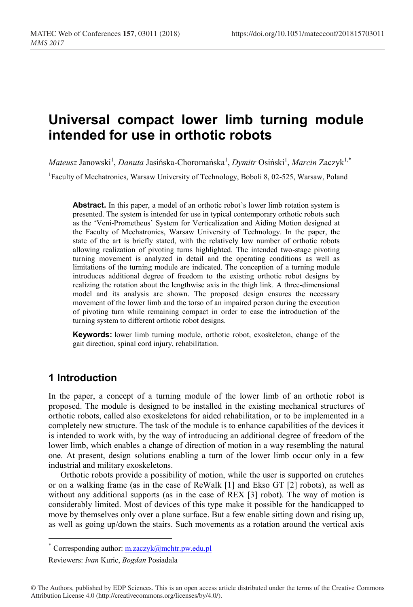# **Universal compact lower limb turning module intended for use in orthotic robots**

 $\emph{Mateusz Janowski}^1$ , *Danuta* Jasińska-Choromańska<sup>1</sup>, *Dymitr* Osiński<sup>1</sup>, *Marcin* Zaczyk<sup>1,\*</sup> <sup>1</sup>Faculty of Mechatronics, Warsaw University of Technology, Boboli 8, 02-525, Warsaw, Poland

Abstract. In this paper, a model of an orthotic robot's lower limb rotation system is presented. The system is intended for use in typical contemporary orthotic robots such as the 'Veni-Prometheus' System for Verticalization and Aiding Motion designed at the Faculty of Mechatronics, Warsaw University of Technology. In the paper, the state of the art is briefly stated, with the relatively low number of orthotic robots allowing realization of pivoting turns highlighted. The intended two-stage pivoting turning movement is analyzed in detail and the operating conditions as well as limitations of the turning module are indicated. The conception of a turning module introduces additional degree of freedom to the existing orthotic robot designs by realizing the rotation about the lengthwise axis in the thigh link. A three-dimensional model and its analysis are shown. The proposed design ensures the necessary movement of the lower limb and the torso of an impaired person during the execution of pivoting turn while remaining compact in order to ease the introduction of the turning system to different orthotic robot designs.

**Keywords:** lower limb turning module, orthotic robot, exoskeleton, change of the gait direction, spinal cord injury, rehabilitation.

# **1 Introduction**

In the paper, a concept of a turning module of the lower limb of an orthotic robot is proposed. The module is designed to be installed in the existing mechanical structures of orthotic robots, called also exoskeletons for aided rehabilitation, or to be implemented in a completely new structure. The task of the module is to enhance capabilities of the devices it is intended to work with, by the way of introducing an additional degree of freedom of the lower limb, which enables a change of direction of motion in a way resembling the natural one. At present, design solutions enabling a turn of the lower limb occur only in a few industrial and military exoskeletons.

Orthotic robots provide a possibility of motion, while the user is supported on crutches or on a walking frame (as in the case of ReWalk [1] and Ekso GT [2] robots), as well as without any additional supports (as in the case of REX [3] robot). The way of motion is considerably limited. Most of devices of this type make it possible for the handicapped to move by themselves only over a plane surface. But a few enable sitting down and rising up, as well as going up/down the stairs. Such movements as a rotation around the vertical axis

 <sup>\*</sup> Corresponding author: m.zaczyk@mchtr.pw.edu.pl

Reviewers: *Ivan* Kuric, *Bogdan* Posiadala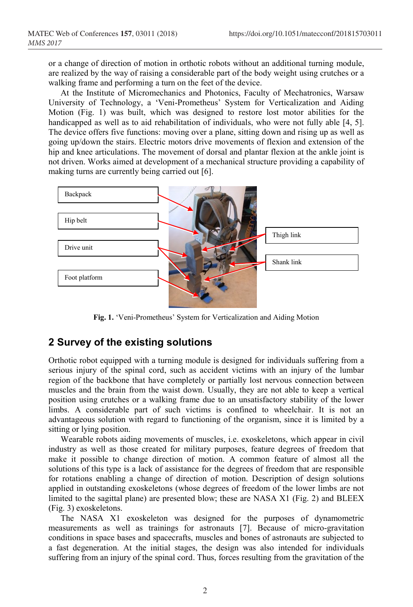or a change of direction of motion in orthotic robots without an additional turning module, are realized by the way of raising a considerable part of the body weight using crutches or a walking frame and performing a turn on the feet of the device.

At the Institute of Micromechanics and Photonics, Faculty of Mechatronics, Warsaw University of Technology, a 'Veni-Prometheus' System for Verticalization and Aiding Motion (Fig. 1) was built, which was designed to restore lost motor abilities for the handicapped as well as to aid rehabilitation of individuals, who were not fully able [4, 5]. The device offers five functions: moving over a plane, sitting down and rising up as well as going up/down the stairs. Electric motors drive movements of flexion and extension of the hip and knee articulations. The movement of dorsal and plantar flexion at the ankle joint is not driven. Works aimed at development of a mechanical structure providing a capability of making turns are currently being carried out [6].



**Fig. 1.** 'Veni-Prometheus' System for Verticalization and Aiding Motion

# **2 Survey of the existing solutions**

Orthotic robot equipped with a turning module is designed for individuals suffering from a serious injury of the spinal cord, such as accident victims with an injury of the lumbar region of the backbone that have completely or partially lost nervous connection between muscles and the brain from the waist down. Usually, they are not able to keep a vertical position using crutches or a walking frame due to an unsatisfactory stability of the lower limbs. A considerable part of such victims is confined to wheelchair. It is not an advantageous solution with regard to functioning of the organism, since it is limited by a sitting or lying position.

Wearable robots aiding movements of muscles, i.e. exoskeletons, which appear in civil industry as well as those created for military purposes, feature degrees of freedom that make it possible to change direction of motion. A common feature of almost all the solutions of this type is a lack of assistance for the degrees of freedom that are responsible for rotations enabling a change of direction of motion. Description of design solutions applied in outstanding exoskeletons (whose degrees of freedom of the lower limbs are not limited to the sagittal plane) are presented blow; these are NASA X1 (Fig. 2) and BLEEX (Fig. 3) exoskeletons.

The NASA X1 exoskeleton was designed for the purposes of dynamometric measurements as well as trainings for astronauts [7]. Because of micro-gravitation conditions in space bases and spacecrafts, muscles and bones of astronauts are subjected to a fast degeneration. At the initial stages, the design was also intended for individuals suffering from an injury of the spinal cord. Thus, forces resulting from the gravitation of the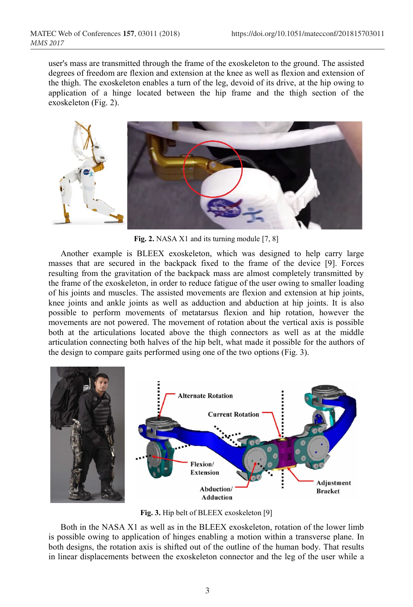user's mass are transmitted through the frame of the exoskeleton to the ground. The assisted degrees of freedom are flexion and extension at the knee as well as flexion and extension of the thigh. The exoskeleton enables a turn of the leg, devoid of its drive, at the hip owing to application of a hinge located between the hip frame and the thigh section of the exoskeleton (Fig. 2).



**Fig. 2.** NASA X1 and its turning module [7, 8]

Another example is BLEEX exoskeleton, which was designed to help carry large masses that are secured in the backpack fixed to the frame of the device [9]. Forces resulting from the gravitation of the backpack mass are almost completely transmitted by the frame of the exoskeleton, in order to reduce fatigue of the user owing to smaller loading of his joints and muscles. The assisted movements are flexion and extension at hip joints, knee joints and ankle joints as well as adduction and abduction at hip joints. It is also possible to perform movements of metatarsus flexion and hip rotation, however the movements are not powered. The movement of rotation about the vertical axis is possible both at the articulations located above the thigh connectors as well as at the middle articulation connecting both halves of the hip belt, what made it possible for the authors of the design to compare gaits performed using one of the two options (Fig. 3).



**Fig. 3.** Hip belt of BLEEX exoskeleton [9]

Both in the NASA X1 as well as in the BLEEX exoskeleton, rotation of the lower limb is possible owing to application of hinges enabling a motion within a transverse plane. In both designs, the rotation axis is shifted out of the outline of the human body. That results in linear displacements between the exoskeleton connector and the leg of the user while a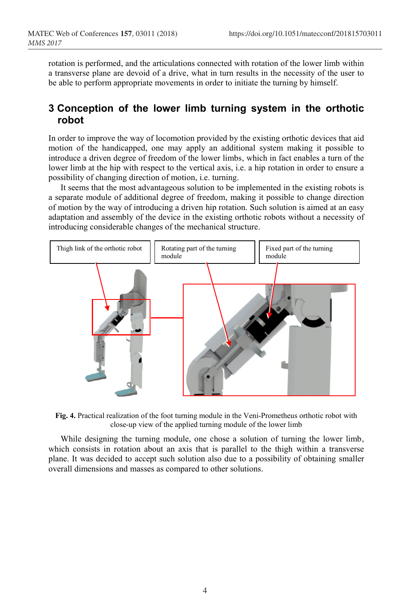rotation is performed, and the articulations connected with rotation of the lower limb within a transverse plane are devoid of a drive, what in turn results in the necessity of the user to be able to perform appropriate movements in order to initiate the turning by himself.

# **3 Conception of the lower limb turning system in the orthotic robot**

In order to improve the way of locomotion provided by the existing orthotic devices that aid motion of the handicapped, one may apply an additional system making it possible to introduce a driven degree of freedom of the lower limbs, which in fact enables a turn of the lower limb at the hip with respect to the vertical axis, i.e. a hip rotation in order to ensure a possibility of changing direction of motion, i.e. turning.

It seems that the most advantageous solution to be implemented in the existing robots is a separate module of additional degree of freedom, making it possible to change direction of motion by the way of introducing a driven hip rotation. Such solution is aimed at an easy adaptation and assembly of the device in the existing orthotic robots without a necessity of introducing considerable changes of the mechanical structure.



**Fig. 4.** Practical realization of the foot turning module in the Veni-Prometheus orthotic robot with close-up view of the applied turning module of the lower limb

While designing the turning module, one chose a solution of turning the lower limb, which consists in rotation about an axis that is parallel to the thigh within a transverse plane. It was decided to accept such solution also due to a possibility of obtaining smaller overall dimensions and masses as compared to other solutions.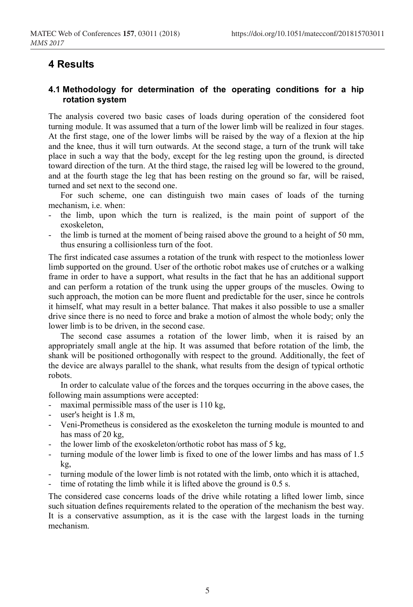# **4 Results**

#### **4.1 Methodology for determination of the operating conditions for a hip rotation system**

The analysis covered two basic cases of loads during operation of the considered foot turning module. It was assumed that a turn of the lower limb will be realized in four stages. At the first stage, one of the lower limbs will be raised by the way of a flexion at the hip and the knee, thus it will turn outwards. At the second stage, a turn of the trunk will take place in such a way that the body, except for the leg resting upon the ground, is directed toward direction of the turn. At the third stage, the raised leg will be lowered to the ground, and at the fourth stage the leg that has been resting on the ground so far, will be raised, turned and set next to the second one.

For such scheme, one can distinguish two main cases of loads of the turning mechanism, i.e. when:

- the limb, upon which the turn is realized, is the main point of support of the exoskeleton,
- the limb is turned at the moment of being raised above the ground to a height of 50 mm, thus ensuring a collisionless turn of the foot.

The first indicated case assumes a rotation of the trunk with respect to the motionless lower limb supported on the ground. User of the orthotic robot makes use of crutches or a walking frame in order to have a support, what results in the fact that he has an additional support and can perform a rotation of the trunk using the upper groups of the muscles. Owing to such approach, the motion can be more fluent and predictable for the user, since he controls it himself, what may result in a better balance. That makes it also possible to use a smaller drive since there is no need to force and brake a motion of almost the whole body; only the lower limb is to be driven, in the second case.

The second case assumes a rotation of the lower limb, when it is raised by an appropriately small angle at the hip. It was assumed that before rotation of the limb, the shank will be positioned orthogonally with respect to the ground. Additionally, the feet of the device are always parallel to the shank, what results from the design of typical orthotic robots.

In order to calculate value of the forces and the torques occurring in the above cases, the following main assumptions were accepted:

- maximal permissible mass of the user is  $110$  kg,
- user's height is  $1.8 \text{ m}$ ,
- Veni-Prometheus is considered as the exoskeleton the turning module is mounted to and has mass of 20 kg,
- the lower limb of the exoskeleton/orthotic robot has mass of 5 kg,
- turning module of the lower limb is fixed to one of the lower limbs and has mass of 1.5 kg,
- turning module of the lower limb is not rotated with the limb, onto which it is attached,
- time of rotating the limb while it is lifted above the ground is  $0.5$  s.

The considered case concerns loads of the drive while rotating a lifted lower limb, since such situation defines requirements related to the operation of the mechanism the best way. It is a conservative assumption, as it is the case with the largest loads in the turning mechanism.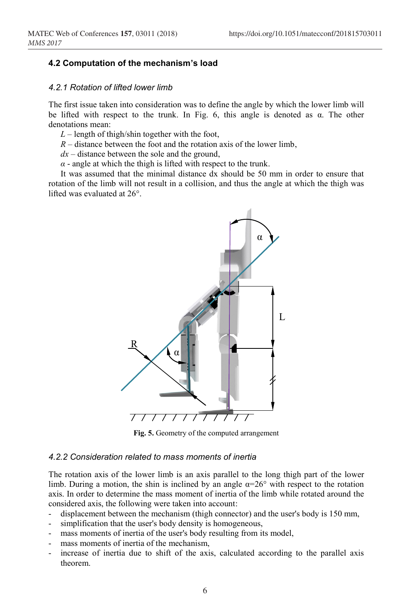#### **4.2 Computation of the mechanism's load**

#### *4.2.1 Rotation of lifted lower limb*

The first issue taken into consideration was to define the angle by which the lower limb will be lifted with respect to the trunk. In Fig. 6, this angle is denoted as  $\alpha$ . The other denotations mean:

 $L$  – length of thigh/shin together with the foot,

 $R$  – distance between the foot and the rotation axis of the lower limb,

 $dx$  – distance between the sole and the ground,

 $\alpha$  - angle at which the thigh is lifted with respect to the trunk.

It was assumed that the minimal distance dx should be 50 mm in order to ensure that rotation of the limb will not result in a collision, and thus the angle at which the thigh was lifted was evaluated at 26°.



**Fig. 5.** Geometry of the computed arrangement

#### *4.2.2 Consideration related to mass moments of inertia*

The rotation axis of the lower limb is an axis parallel to the long thigh part of the lower limb. During a motion, the shin is inclined by an angle  $\alpha=26^{\circ}$  with respect to the rotation axis. In order to determine the mass moment of inertia of the limb while rotated around the considered axis, the following were taken into account:

- displacement between the mechanism (thigh connector) and the user's body is 150 mm,
- simplification that the user's body density is homogeneous,
- mass moments of inertia of the user's body resulting from its model,
- mass moments of inertia of the mechanism,
- increase of inertia due to shift of the axis, calculated according to the parallel axis theorem.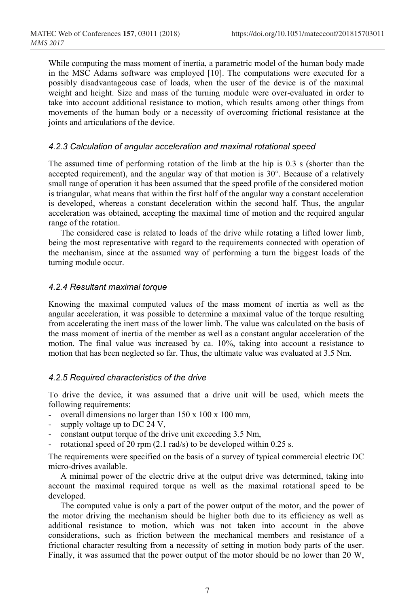While computing the mass moment of inertia, a parametric model of the human body made in the MSC Adams software was employed [10]. The computations were executed for a possibly disadvantageous case of loads, when the user of the device is of the maximal weight and height. Size and mass of the turning module were over-evaluated in order to take into account additional resistance to motion, which results among other things from movements of the human body or a necessity of overcoming frictional resistance at the joints and articulations of the device.

#### *4.2.3 Calculation of angular acceleration and maximal rotational speed*

The assumed time of performing rotation of the limb at the hip is 0.3 s (shorter than the accepted requirement), and the angular way of that motion is 30°. Because of a relatively small range of operation it has been assumed that the speed profile of the considered motion is triangular, what means that within the first half of the angular way a constant acceleration is developed, whereas a constant deceleration within the second half. Thus, the angular acceleration was obtained, accepting the maximal time of motion and the required angular range of the rotation.

The considered case is related to loads of the drive while rotating a lifted lower limb, being the most representative with regard to the requirements connected with operation of the mechanism, since at the assumed way of performing a turn the biggest loads of the turning module occur.

#### *4.2.4 Resultant maximal torque*

Knowing the maximal computed values of the mass moment of inertia as well as the angular acceleration, it was possible to determine a maximal value of the torque resulting from accelerating the inert mass of the lower limb. The value was calculated on the basis of the mass moment of inertia of the member as well as a constant angular acceleration of the motion. The final value was increased by ca. 10%, taking into account a resistance to motion that has been neglected so far. Thus, the ultimate value was evaluated at 3.5 Nm.

#### *4.2.5 Required characteristics of the drive*

To drive the device, it was assumed that a drive unit will be used, which meets the following requirements:

- overall dimensions no larger than 150 x 100 x 100 mm,
- supply voltage up to DC 24 V,
- constant output torque of the drive unit exceeding 3.5 Nm,
- rotational speed of 20 rpm  $(2.1 \text{ rad/s})$  to be developed within 0.25 s.

The requirements were specified on the basis of a survey of typical commercial electric DC micro-drives available.

A minimal power of the electric drive at the output drive was determined, taking into account the maximal required torque as well as the maximal rotational speed to be developed.

The computed value is only a part of the power output of the motor, and the power of the motor driving the mechanism should be higher both due to its efficiency as well as additional resistance to motion, which was not taken into account in the above considerations, such as friction between the mechanical members and resistance of a frictional character resulting from a necessity of setting in motion body parts of the user. Finally, it was assumed that the power output of the motor should be no lower than 20 W,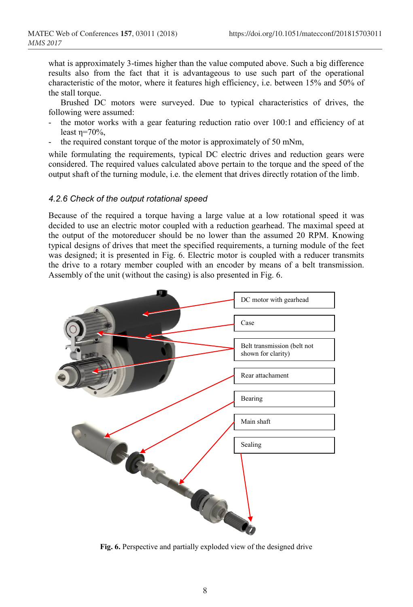what is approximately 3-times higher than the value computed above. Such a big difference results also from the fact that it is advantageous to use such part of the operational characteristic of the motor, where it features high efficiency, i.e. between 15% and 50% of the stall torque.

Brushed DC motors were surveyed. Due to typical characteristics of drives, the following were assumed:

- the motor works with a gear featuring reduction ratio over 100:1 and efficiency of at least  $\eta = 70\%$ ,
- the required constant torque of the motor is approximately of 50 mNm,

while formulating the requirements, typical DC electric drives and reduction gears were considered. The required values calculated above pertain to the torque and the speed of the output shaft of the turning module, i.e. the element that drives directly rotation of the limb.

#### *4.2.6 Check of the output rotational speed*

Because of the required a torque having a large value at a low rotational speed it was decided to use an electric motor coupled with a reduction gearhead. The maximal speed at the output of the motoreducer should be no lower than the assumed 20 RPM. Knowing typical designs of drives that meet the specified requirements, a turning module of the feet was designed; it is presented in Fig. 6. Electric motor is coupled with a reducer transmits the drive to a rotary member coupled with an encoder by means of a belt transmission. Assembly of the unit (without the casing) is also presented in Fig. 6.



**Fig. 6.** Perspective and partially exploded view of the designed drive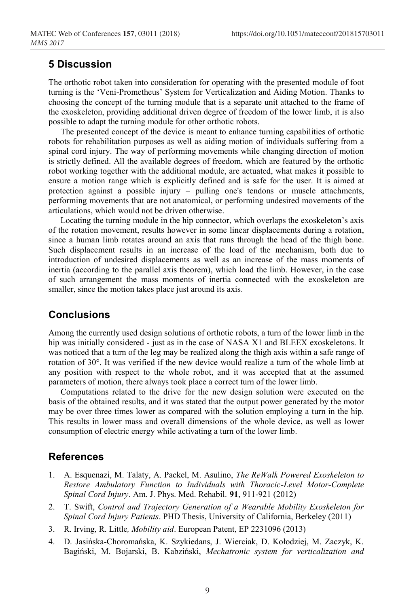## **5 Discussion**

The orthotic robot taken into consideration for operating with the presented module of foot turning is the 'Veni-Prometheus' System for Verticalization and Aiding Motion. Thanks to choosing the concept of the turning module that is a separate unit attached to the frame of the exoskeleton, providing additional driven degree of freedom of the lower limb, it is also possible to adapt the turning module for other orthotic robots.

The presented concept of the device is meant to enhance turning capabilities of orthotic robots for rehabilitation purposes as well as aiding motion of individuals suffering from a spinal cord injury. The way of performing movements while changing direction of motion is strictly defined. All the available degrees of freedom, which are featured by the orthotic robot working together with the additional module, are actuated, what makes it possible to ensure a motion range which is explicitly defined and is safe for the user. It is aimed at protection against a possible injury – pulling one's tendons or muscle attachments, performing movements that are not anatomical, or performing undesired movements of the articulations, which would not be driven otherwise.

Locating the turning module in the hip connector, which overlaps the exoskeleton's axis of the rotation movement, results however in some linear displacements during a rotation, since a human limb rotates around an axis that runs through the head of the thigh bone. Such displacement results in an increase of the load of the mechanism, both due to introduction of undesired displacements as well as an increase of the mass moments of inertia (according to the parallel axis theorem), which load the limb. However, in the case of such arrangement the mass moments of inertia connected with the exoskeleton are smaller, since the motion takes place just around its axis.

### **Conclusions**

Among the currently used design solutions of orthotic robots, a turn of the lower limb in the hip was initially considered - just as in the case of NASA X1 and BLEEX exoskeletons. It was noticed that a turn of the leg may be realized along the thigh axis within a safe range of rotation of 30°. It was verified if the new device would realize a turn of the whole limb at any position with respect to the whole robot, and it was accepted that at the assumed parameters of motion, there always took place a correct turn of the lower limb.

Computations related to the drive for the new design solution were executed on the basis of the obtained results, and it was stated that the output power generated by the motor may be over three times lower as compared with the solution employing a turn in the hip. This results in lower mass and overall dimensions of the whole device, as well as lower consumption of electric energy while activating a turn of the lower limb.

# **References**

- 1. A. Esquenazi, M. Talaty, A. Packel, M. Asulino, *The ReWalk Powered Exoskeleton to Restore Ambulatory Function to Individuals with Thoracic-Level Motor-Complete Spinal Cord Injury*. Am. J. Phys. Med. Rehabil. **91**, 911-921 (2012)
- 2. T. Swift, *Control and Trajectory Generation of a Wearable Mobility Exoskeleton for Spinal Cord Injury Patients*. PHD Thesis, University of California, Berkeley (2011)
- 3. R. Irving, R. Little*, Mobility aid*. European Patent, EP 2231096 (2013)
- 4. D. Jasińska-Choromańska, K. Szykiedans, J. Wierciak, D. Kołodziej, M. Zaczyk, K. Bagiński, M. Bojarski, B. Kabziński, *Mechatronic system for verticalization and*